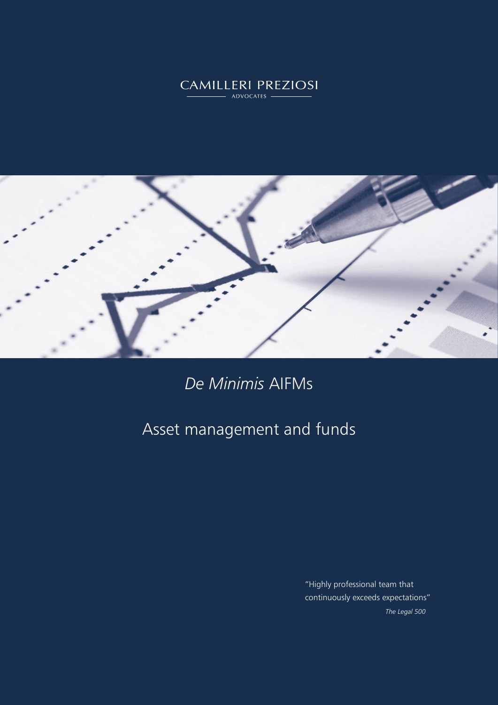# CAMILLERI PREZIOSI



## *De Minimis* AIFMs

## Asset management and funds

"Highly professional team that continuously exceeds expectations" *The Legal 500*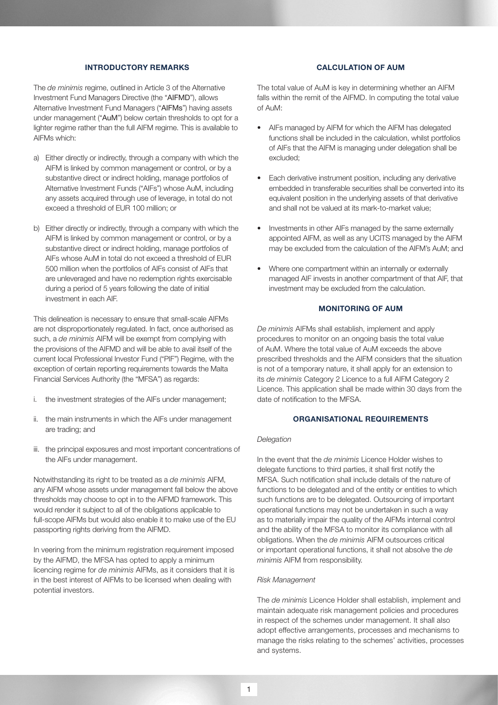#### INTRODUCTORY REMARKS

The *de minimis* regime, outlined in Article 3 of the Alternative Investment Fund Managers Directive (the "AIFMD"), allows Alternative Investment Fund Managers ("AIFMs") having assets under management ("AuM") below certain thresholds to opt for a lighter regime rather than the full AIFM regime. This is available to AIFMs which:

- a) Either directly or indirectly, through a company with which the AIFM is linked by common management or control, or by a substantive direct or indirect holding, manage portfolios of Alternative Investment Funds ("AIFs") whose AuM, including any assets acquired through use of leverage, in total do not exceed a threshold of EUR 100 million; or
- b) Either directly or indirectly, through a company with which the AIFM is linked by common management or control, or by a substantive direct or indirect holding, manage portfolios of AIFs whose AuM in total do not exceed a threshold of EUR 500 million when the portfolios of AIFs consist of AIFs that are unleveraged and have no redemption rights exercisable during a period of 5 years following the date of initial investment in each AIF.

This delineation is necessary to ensure that small-scale AIFMs are not disproportionately regulated. In fact, once authorised as such, a *de minimis* AIFM will be exempt from complying with the provisions of the AIFMD and will be able to avail itself of the current local Professional Investor Fund ("PIF") Regime, with the exception of certain reporting requirements towards the Malta Financial Services Authority (the "MFSA") as regards:

- i. the investment strategies of the AIFs under management;
- ii. the main instruments in which the AIFs under management are trading; and
- iii. the principal exposures and most important concentrations of the AIFs under management.

Notwithstanding its right to be treated as a *de minimis* AIFM, any AIFM whose assets under management fall below the above thresholds may choose to opt in to the AIFMD framework. This would render it subject to all of the obligations applicable to full-scope AIFMs but would also enable it to make use of the EU passporting rights deriving from the AIFMD.

In veering from the minimum registration requirement imposed by the AIFMD, the MFSA has opted to apply a minimum licencing regime for *de minimis* AIFMs, as it considers that it is in the best interest of AIFMs to be licensed when dealing with potential investors.

## CALCULATION OF AUM

The total value of AuM is key in determining whether an AIFM falls within the remit of the AIFMD. In computing the total value of AuM:

- AIFs managed by AIFM for which the AIFM has delegated functions shall be included in the calculation, whilst portfolios of AIFs that the AIFM is managing under delegation shall be excluded;
- Each derivative instrument position, including any derivative embedded in transferable securities shall be converted into its equivalent position in the underlying assets of that derivative and shall not be valued at its mark-to-market value;
- Investments in other AIFs managed by the same externally appointed AIFM, as well as any UCITS managed by the AIFM may be excluded from the calculation of the AIFM's AuM; and
- Where one compartment within an internally or externally managed AIF invests in another compartment of that AIF, that investment may be excluded from the calculation.

## MONITORING OF AUM

*De minimis* AIFMs shall establish, implement and apply procedures to monitor on an ongoing basis the total value of AuM. Where the total value of AuM exceeds the above prescribed thresholds and the AIFM considers that the situation is not of a temporary nature, it shall apply for an extension to its *de minimis* Category 2 Licence to a full AIFM Category 2 Licence. This application shall be made within 30 days from the date of notification to the MFSA.

#### ORGANISATIONAL REQUIREMENTS

#### *Delegation*

In the event that the *de minimis* Licence Holder wishes to delegate functions to third parties, it shall first notify the MFSA. Such notification shall include details of the nature of functions to be delegated and of the entity or entities to which such functions are to be delegated. Outsourcing of important operational functions may not be undertaken in such a way as to materially impair the quality of the AIFMs internal control and the ability of the MFSA to monitor its compliance with all obligations. When the *de minimis* AIFM outsources critical or important operational functions, it shall not absolve the *de minimis* AIFM from responsibility.

#### *Risk Management*

The *de minimis* Licence Holder shall establish, implement and maintain adequate risk management policies and procedures in respect of the schemes under management. It shall also adopt effective arrangements, processes and mechanisms to manage the risks relating to the schemes' activities, processes and systems.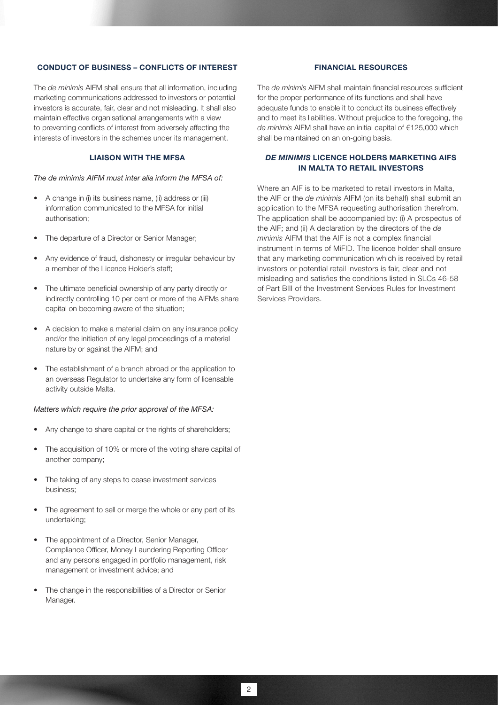#### CONDUCT OF BUSINESS – CONFLICTS OF INTEREST

The *de minimis* AIFM shall ensure that all information, including marketing communications addressed to investors or potential investors is accurate, fair, clear and not misleading. It shall also maintain effective organisational arrangements with a view to preventing conflicts of interest from adversely affecting the interests of investors in the schemes under its management.

## LIAISON WITH THE MFSA

#### *The de minimis AIFM must inter alia inform the MFSA of:*

- A change in (i) its business name, (ii) address or (iii) information communicated to the MFSA for initial authorisation;
- The departure of a Director or Senior Manager;
- Any evidence of fraud, dishonesty or irregular behaviour by a member of the Licence Holder's staff;
- The ultimate beneficial ownership of any party directly or indirectly controlling 10 per cent or more of the AIFMs share capital on becoming aware of the situation;
- A decision to make a material claim on any insurance policy and/or the initiation of any legal proceedings of a material nature by or against the AIFM; and
- The establishment of a branch abroad or the application to an overseas Regulator to undertake any form of licensable activity outside Malta.

## *Matters which require the prior approval of the MFSA:*

- Any change to share capital or the rights of shareholders;
- The acquisition of 10% or more of the voting share capital of another company;
- The taking of any steps to cease investment services business;
- The agreement to sell or merge the whole or any part of its undertaking;
- The appointment of a Director, Senior Manager, Compliance Officer, Money Laundering Reporting Officer and any persons engaged in portfolio management, risk management or investment advice; and
- The change in the responsibilities of a Director or Senior Manager.

## FINANCIAL RESOURCES

The *de minimis* AIFM shall maintain financial resources sufficient for the proper performance of its functions and shall have adequate funds to enable it to conduct its business effectively and to meet its liabilities. Without prejudice to the foregoing, the *de minimis* AIFM shall have an initial capital of €125,000 which shall be maintained on an on-going basis.

## *DE MINIMIS* LICENCE HOLDERS MARKETING AIFS IN MALTA TO RETAIL INVESTORS

Where an AIF is to be marketed to retail investors in Malta, the AIF or the *de minimis* AIFM (on its behalf) shall submit an application to the MFSA requesting authorisation therefrom. The application shall be accompanied by: (i) A prospectus of the AIF; and (ii) A declaration by the directors of the *de minimis* AIFM that the AIF is not a complex financial instrument in terms of MiFID. The licence holder shall ensure that any marketing communication which is received by retail investors or potential retail investors is fair, clear and not misleading and satisfies the conditions listed in SLCs 46-58 of Part BIII of the Investment Services Rules for Investment Services Providers.